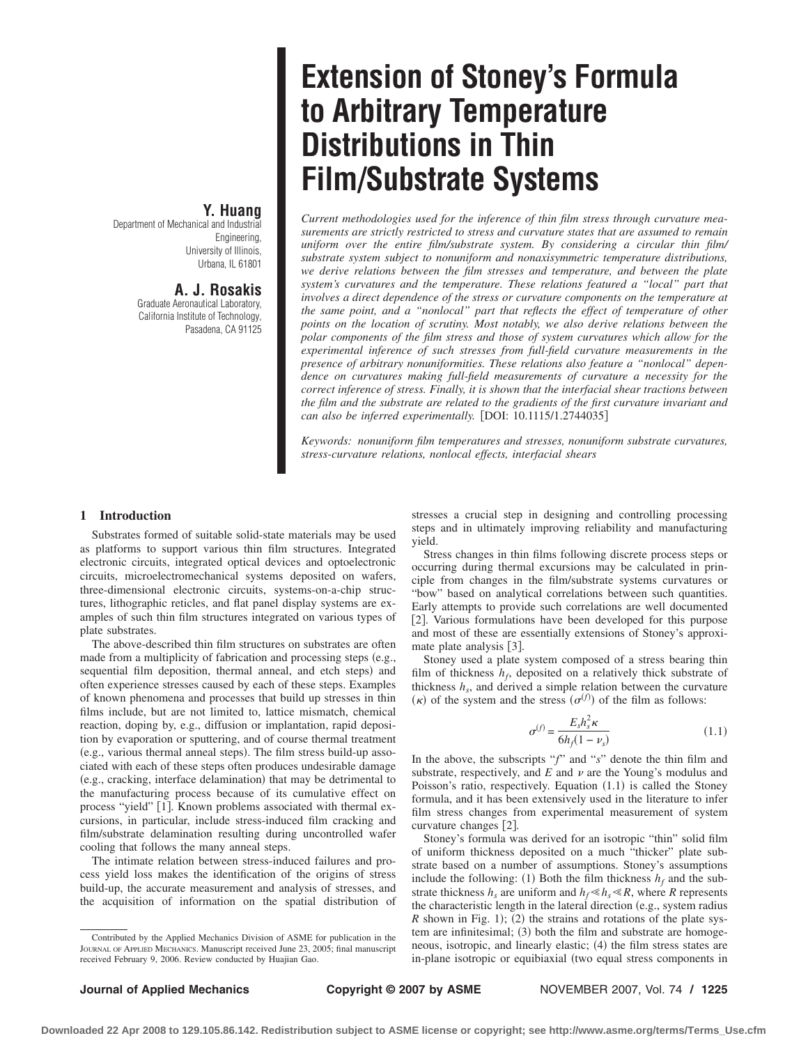# **Y. Huang**

Department of Mechanical and Industrial Engineering, University of Illinois, Urbana, IL 61801

# **A. J. Rosakis**

Graduate Aeronautical Laboratory, California Institute of Technology, Pasadena, CA 91125

# **Extension of Stoney's Formula to Arbitrary Temperature Distributions in Thin Film/Substrate Systems**

*Current methodologies used for the inference of thin film stress through curvature measurements are strictly restricted to stress and curvature states that are assumed to remain uniform over the entire film/substrate system. By considering a circular thin film/ substrate system subject to nonuniform and nonaxisymmetric temperature distributions, we derive relations between the film stresses and temperature, and between the plate system's curvatures and the temperature. These relations featured a "local" part that involves a direct dependence of the stress or curvature components on the temperature at the same point, and a "nonlocal" part that reflects the effect of temperature of other points on the location of scrutiny. Most notably, we also derive relations between the polar components of the film stress and those of system curvatures which allow for the experimental inference of such stresses from full-field curvature measurements in the presence of arbitrary nonuniformities. These relations also feature a "nonlocal" dependence on curvatures making full-field measurements of curvature a necessity for the correct inference of stress. Finally, it is shown that the interfacial shear tractions between the film and the substrate are related to the gradients of the first curvature invariant and can also be inferred experimentally.* [DOI: 10.1115/1.2744035]

*Keywords: nonuniform film temperatures and stresses, nonuniform substrate curvatures, stress-curvature relations, nonlocal effects, interfacial shears*

### **1 Introduction**

Substrates formed of suitable solid-state materials may be used as platforms to support various thin film structures. Integrated electronic circuits, integrated optical devices and optoelectronic circuits, microelectromechanical systems deposited on wafers, three-dimensional electronic circuits, systems-on-a-chip structures, lithographic reticles, and flat panel display systems are examples of such thin film structures integrated on various types of plate substrates.

The above-described thin film structures on substrates are often made from a multiplicity of fabrication and processing steps (e.g., sequential film deposition, thermal anneal, and etch steps) and often experience stresses caused by each of these steps. Examples of known phenomena and processes that build up stresses in thin films include, but are not limited to, lattice mismatch, chemical reaction, doping by, e.g., diffusion or implantation, rapid deposition by evaporation or sputtering, and of course thermal treatment e.g., various thermal anneal steps. The film stress build-up associated with each of these steps often produces undesirable damage (e.g., cracking, interface delamination) that may be detrimental to the manufacturing process because of its cumulative effect on process "yield" [1]. Known problems associated with thermal excursions, in particular, include stress-induced film cracking and film/substrate delamination resulting during uncontrolled wafer cooling that follows the many anneal steps.

The intimate relation between stress-induced failures and process yield loss makes the identification of the origins of stress build-up, the accurate measurement and analysis of stresses, and the acquisition of information on the spatial distribution of stresses a crucial step in designing and controlling processing steps and in ultimately improving reliability and manufacturing yield.

Stress changes in thin films following discrete process steps or occurring during thermal excursions may be calculated in principle from changes in the film/substrate systems curvatures or "bow" based on analytical correlations between such quantities. Early attempts to provide such correlations are well documented [2]. Various formulations have been developed for this purpose and most of these are essentially extensions of Stoney's approximate plate analysis [3].

Stoney used a plate system composed of a stress bearing thin film of thickness  $h_f$ , deposited on a relatively thick substrate of thickness  $h_s$ , and derived a simple relation between the curvature  $(\kappa)$  of the system and the stress  $(\sigma^{(f)})$  of the film as follows:

$$
\sigma^{(f)} = \frac{E_s h_s^2 \kappa}{6h_f(1 - \nu_s)}\tag{1.1}
$$

In the above, the subscripts "*f*" and "*s*" denote the thin film and substrate, respectively, and  $E$  and  $\nu$  are the Young's modulus and Poisson's ratio, respectively. Equation  $(1.1)$  is called the Stoney formula, and it has been extensively used in the literature to infer film stress changes from experimental measurement of system curvature changes [2].

Stoney's formula was derived for an isotropic "thin" solid film of uniform thickness deposited on a much "thicker" plate substrate based on a number of assumptions. Stoney's assumptions include the following: (1) Both the film thickness  $h_f$  and the substrate thickness  $h_s$  are uniform and  $h_f \ll h_s \ll R$ , where *R* represents the characteristic length in the lateral direction (e.g., system radius *R* shown in Fig. 1); (2) the strains and rotations of the plate system are infinitesimal; (3) both the film and substrate are homogeneous, isotropic, and linearly elastic;  $(4)$  the film stress states are in-plane isotropic or equibiaxial (two equal stress components in

Contributed by the Applied Mechanics Division of ASME for publication in the JOURNAL OF APPLIED MECHANICS. Manuscript received June 23, 2005; final manuscript received February 9, 2006. Review conducted by Huajian Gao.

**Downloaded 22 Apr 2008 to 129.105.86.142. Redistribution subject to ASME license or copyright; see http://www.asme.org/terms/Terms\_Use.cfm**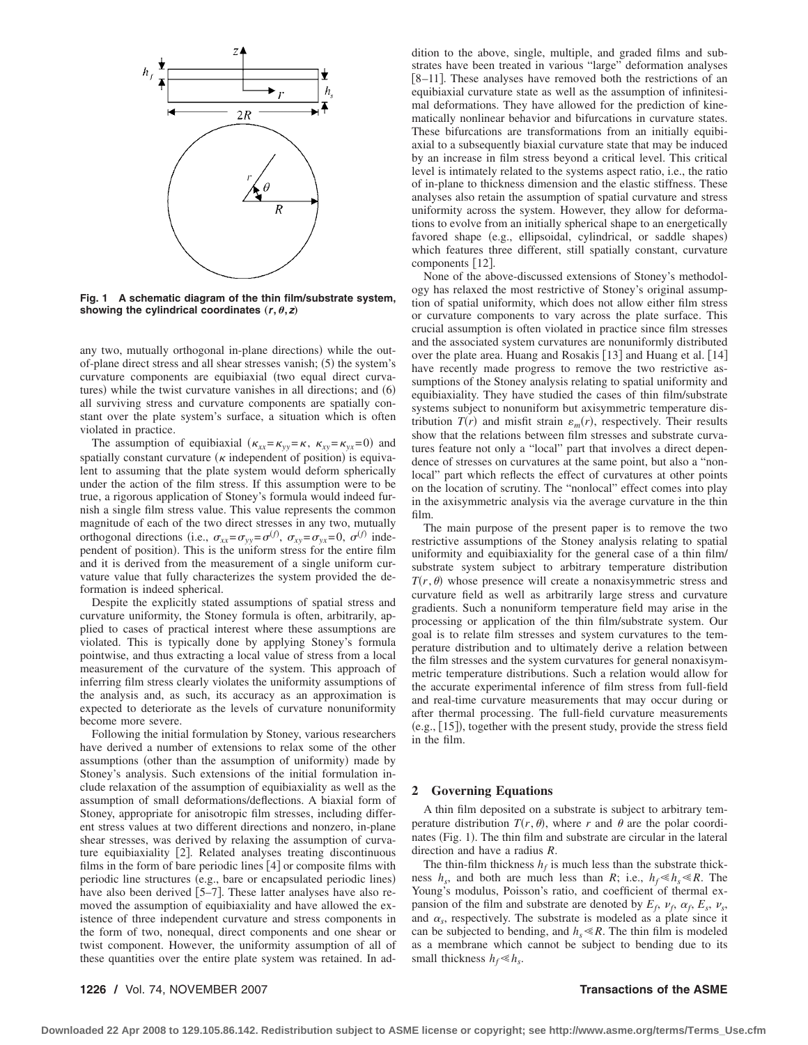

**Fig. 1 A schematic diagram of the thin film/substrate system,** showing the cylindrical coordinates  $(r, \theta, z)$ 

any two, mutually orthogonal in-plane directions) while the outof-plane direct stress and all shear stresses vanish;  $(5)$  the system's curvature components are equibiaxial (two equal direct curvatures) while the twist curvature vanishes in all directions; and  $(6)$ all surviving stress and curvature components are spatially constant over the plate system's surface, a situation which is often violated in practice.

The assumption of equibiaxial  $(\kappa_{xx} = \kappa_{yy} = \kappa, \ \kappa_{xy} = \kappa_{yx} = 0)$  and spatially constant curvature  $(\kappa)$  independent of position) is equivalent to assuming that the plate system would deform spherically under the action of the film stress. If this assumption were to be true, a rigorous application of Stoney's formula would indeed furnish a single film stress value. This value represents the common magnitude of each of the two direct stresses in any two, mutually orthogonal directions (i.e.,  $\sigma_{xx} = \sigma_{yy} = \sigma^{(f)}$ ,  $\sigma_{xy} = \sigma_{yx} = 0$ ,  $\sigma^{(f)}$  independent of position). This is the uniform stress for the entire film and it is derived from the measurement of a single uniform curvature value that fully characterizes the system provided the deformation is indeed spherical.

Despite the explicitly stated assumptions of spatial stress and curvature uniformity, the Stoney formula is often, arbitrarily, applied to cases of practical interest where these assumptions are violated. This is typically done by applying Stoney's formula pointwise, and thus extracting a local value of stress from a local measurement of the curvature of the system. This approach of inferring film stress clearly violates the uniformity assumptions of the analysis and, as such, its accuracy as an approximation is expected to deteriorate as the levels of curvature nonuniformity become more severe.

Following the initial formulation by Stoney, various researchers have derived a number of extensions to relax some of the other assumptions (other than the assumption of uniformity) made by Stoney's analysis. Such extensions of the initial formulation include relaxation of the assumption of equibiaxiality as well as the assumption of small deformations/deflections. A biaxial form of Stoney, appropriate for anisotropic film stresses, including different stress values at two different directions and nonzero, in-plane shear stresses, was derived by relaxing the assumption of curvature equibiaxiality [2]. Related analyses treating discontinuous films in the form of bare periodic lines  $[4]$  or composite films with periodic line structures (e.g., bare or encapsulated periodic lines) have also been derived [5-7]. These latter analyses have also removed the assumption of equibiaxiality and have allowed the existence of three independent curvature and stress components in the form of two, nonequal, direct components and one shear or twist component. However, the uniformity assumption of all of these quantities over the entire plate system was retained. In ad-

dition to the above, single, multiple, and graded films and substrates have been treated in various "large" deformation analyses [8-11]. These analyses have removed both the restrictions of an equibiaxial curvature state as well as the assumption of infinitesimal deformations. They have allowed for the prediction of kinematically nonlinear behavior and bifurcations in curvature states. These bifurcations are transformations from an initially equibiaxial to a subsequently biaxial curvature state that may be induced by an increase in film stress beyond a critical level. This critical level is intimately related to the systems aspect ratio, i.e., the ratio of in-plane to thickness dimension and the elastic stiffness. These analyses also retain the assumption of spatial curvature and stress uniformity across the system. However, they allow for deformations to evolve from an initially spherical shape to an energetically favored shape (e.g., ellipsoidal, cylindrical, or saddle shapes) which features three different, still spatially constant, curvature components [12].

None of the above-discussed extensions of Stoney's methodology has relaxed the most restrictive of Stoney's original assumption of spatial uniformity, which does not allow either film stress or curvature components to vary across the plate surface. This crucial assumption is often violated in practice since film stresses and the associated system curvatures are nonuniformly distributed over the plate area. Huang and Rosakis [13] and Huang et al. [14] have recently made progress to remove the two restrictive assumptions of the Stoney analysis relating to spatial uniformity and equibiaxiality. They have studied the cases of thin film/substrate systems subject to nonuniform but axisymmetric temperature distribution  $T(r)$  and misfit strain  $\varepsilon_m(r)$ , respectively. Their results show that the relations between film stresses and substrate curvatures feature not only a "local" part that involves a direct dependence of stresses on curvatures at the same point, but also a "nonlocal" part which reflects the effect of curvatures at other points on the location of scrutiny. The "nonlocal" effect comes into play in the axisymmetric analysis via the average curvature in the thin film.

The main purpose of the present paper is to remove the two restrictive assumptions of the Stoney analysis relating to spatial uniformity and equibiaxiality for the general case of a thin film/ substrate system subject to arbitrary temperature distribution  $T(r, \theta)$  whose presence will create a nonaxisymmetric stress and curvature field as well as arbitrarily large stress and curvature gradients. Such a nonuniform temperature field may arise in the processing or application of the thin film/substrate system. Our goal is to relate film stresses and system curvatures to the temperature distribution and to ultimately derive a relation between the film stresses and the system curvatures for general nonaxisymmetric temperature distributions. Such a relation would allow for the accurate experimental inference of film stress from full-field and real-time curvature measurements that may occur during or after thermal processing. The full-field curvature measurements (e.g., [15]), together with the present study, provide the stress field in the film.

### **2 Governing Equations**

A thin film deposited on a substrate is subject to arbitrary temperature distribution  $T(r, \theta)$ , where r and  $\theta$  are the polar coordinates (Fig. 1). The thin film and substrate are circular in the lateral direction and have a radius *R*.

The thin-film thickness  $h_f$  is much less than the substrate thickness  $h_s$ , and both are much less than *R*; i.e.,  $h_f \ll h_s \ll R$ . The Young's modulus, Poisson's ratio, and coefficient of thermal expansion of the film and substrate are denoted by  $E_f$ ,  $v_f$ ,  $\alpha_f$ ,  $E_s$ ,  $v_s$ , and  $\alpha_s$ , respectively. The substrate is modeled as a plate since it can be subjected to bending, and  $h_s \ll R$ . The thin film is modeled as a membrane which cannot be subject to bending due to its small thickness  $h_f \ll h_s$ .

### **1226 /** Vol. 74, NOVEMBER 2007 **Transactions of the ASME**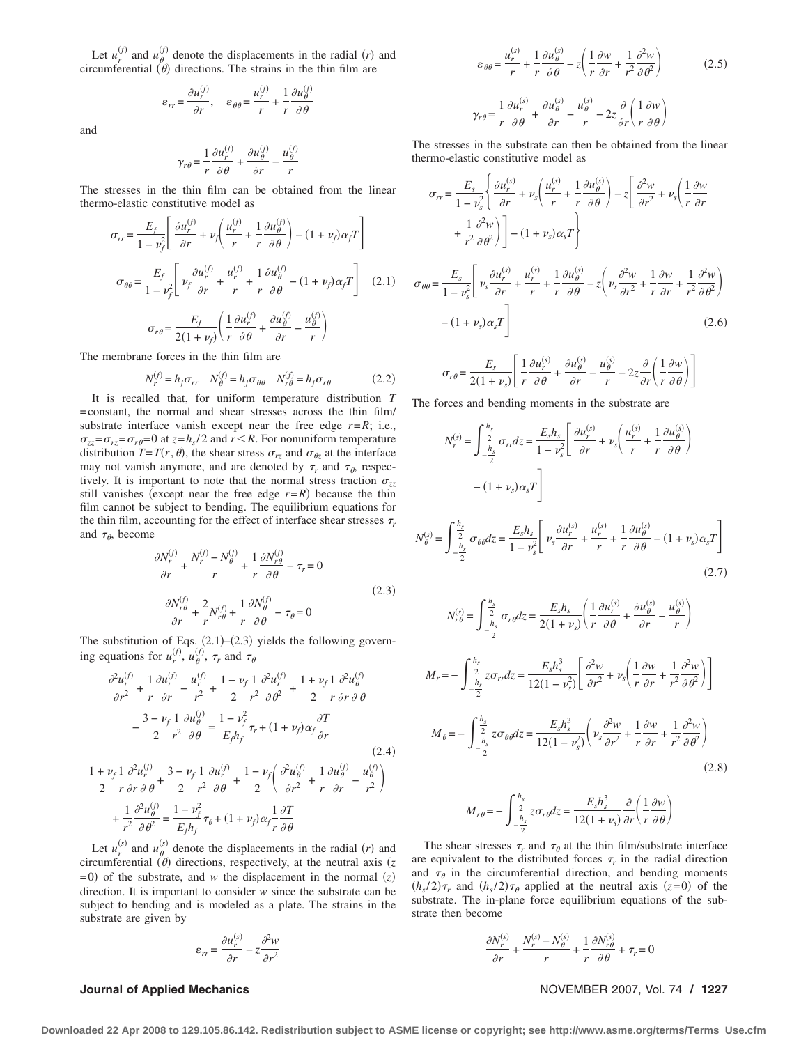Let  $u_r^{(f)}$  and  $u_{\theta}^{(f)}$  denote the displacements in the radial  $(r)$  and circumferential  $(\theta)$  directions. The strains in the thin film are

$$
\varepsilon_{rr} = \frac{\partial u_r^{(f)}}{\partial r}, \quad \varepsilon_{\theta\theta} = \frac{u_r^{(f)}}{r} + \frac{1}{r} \frac{\partial u_\theta^{(f)}}{\partial \theta}
$$

and

$$
\gamma_{r\theta} = \frac{1}{r} \frac{\partial u_r^{(f)}}{\partial \theta} + \frac{\partial u_\theta^{(f)}}{\partial r} - \frac{u_\theta^{(f)}}{r}
$$

The stresses in the thin film can be obtained from the linear thermo-elastic constitutive model as

$$
\sigma_{rr} = \frac{E_f}{1 - \nu_f^2} \left[ \frac{\partial u_r^{(f)}}{\partial r} + \nu_f \left( \frac{u_r^{(f)}}{r} + \frac{1}{r} \frac{\partial u_\theta^{(f)}}{\partial \theta} \right) - (1 + \nu_f) \alpha_f T \right]
$$

$$
\sigma_{\theta\theta} = \frac{E_f}{1 - \nu_f^2} \left[ \nu_f \frac{\partial u_r^{(f)}}{\partial r} + \frac{u_r^{(f)}}{r} + \frac{1}{r} \frac{\partial u_\theta^{(f)}}{\partial \theta} - (1 + \nu_f) \alpha_f T \right] \quad (2.1)
$$

$$
\sigma_{r\theta} = \frac{E_f}{2(1 + \nu_f)} \left( \frac{1}{r} \frac{\partial u_r^{(f)}}{\partial \theta} + \frac{\partial u_\theta^{(f)}}{\partial r} - \frac{u_\theta^{(f)}}{r} \right)
$$

The membrane forces in the thin film are

$$
N_r^{(f)} = h_f \sigma_{rr} \quad N_\theta^{(f)} = h_f \sigma_{\theta\theta} \quad N_{r\theta}^{(f)} = h_f \sigma_{r\theta} \tag{2.2}
$$

It is recalled that, for uniform temperature distribution *T* =constant, the normal and shear stresses across the thin film/ substrate interface vanish except near the free edge  $r = R$ ; i.e.,  $\sigma_{zz} = \sigma_{rz} = \sigma_{r\theta} = 0$  at  $z = h_s/2$  and  $r \leq R$ . For nonuniform temperature distribution  $T = T(r, \theta)$ , the shear stress  $\sigma_{rz}$  and  $\sigma_{\theta z}$  at the interface may not vanish anymore, and are denoted by  $\tau_r$  and  $\tau_\theta$ , respectively. It is important to note that the normal stress traction  $\sigma_{zz}$ still vanishes (except near the free edge  $r=R$ ) because the thin film cannot be subject to bending. The equilibrium equations for the thin film, accounting for the effect of interface shear stresses  $\tau_r$ and  $\tau_{\theta}$ , become

$$
\frac{\partial N_r^{(f)}}{\partial r} + \frac{N_r^{(f)} - N_\theta^{(f)}}{r} + \frac{1}{r} \frac{\partial N_{r\theta}^{(f)}}{\partial \theta} - \tau_r = 0
$$
\n
$$
\frac{\partial N_{r\theta}^{(f)}}{\partial r} + \frac{2}{r} N_{r\theta}^{(f)} + \frac{1}{r} \frac{\partial N_\theta^{(f)}}{\partial \theta} - \tau_\theta = 0
$$
\n(2.3)

The substitution of Eqs.  $(2.1)$ – $(2.3)$  yields the following governing equations for  $u_r^{(f)}$ ,  $u_{\theta}^{(f)}$ ,  $\tau_r$  and  $\tau_{\theta}$ 

$$
\frac{\partial^2 u_r^{(f)}}{\partial r^2} + \frac{1}{r} \frac{\partial u_r^{(f)}}{\partial r} - \frac{u_r^{(f)}}{r^2} + \frac{1 - \nu_f}{2} \frac{1}{r^2} \frac{\partial^2 u_r^{(f)}}{\partial \theta^2} + \frac{1 + \nu_f}{2} \frac{1}{r} \frac{\partial^2 u_\theta^{(f)}}{\partial r \partial \theta}
$$

$$
- \frac{3 - \nu_f}{2} \frac{1}{r^2} \frac{\partial u_\theta^{(f)}}{\partial \theta} = \frac{1 - \nu_f^2}{E_f h_f} \tau_r + (1 + \nu_f) \alpha_f \frac{\partial T}{\partial r}
$$
(2.4)  

$$
\frac{1 + \nu_f}{2} \frac{1}{r} \frac{\partial^2 u_r^{(f)}}{\partial r \partial \theta} + \frac{3 - \nu_f}{2} \frac{1}{r^2} \frac{\partial u_r^{(f)}}{\partial \theta} + \frac{1 - \nu_f}{2} \left( \frac{\partial^2 u_\theta^{(f)}}{\partial r^2} + \frac{1}{r} \frac{\partial u_\theta^{(f)}}{\partial r} - \frac{u_\theta^{(f)}}{r^2} \right)
$$

$$
+ \frac{1}{r^2} \frac{\partial^2 u_\theta^{(f)}}{\partial \theta^2} = \frac{1 - \nu_f^2}{E_f h_f} \tau_\theta + (1 + \nu_f) \alpha_f \frac{1}{r} \frac{\partial T}{\partial \theta}
$$

Let  $u_r^{(s)}$  and  $u_\theta^{(s)}$  denote the displacements in the radial *(r)* and circumferential  $(\theta)$  directions, respectively, at the neutral axis  $(z)$  $(2)$  of the substrate, and *w* the displacement in the normal  $(z)$ direction. It is important to consider *w* since the substrate can be subject to bending and is modeled as a plate. The strains in the substrate are given by

$$
\varepsilon_{rr} = \frac{\partial u_r^{(s)}}{\partial r} - z \frac{\partial^2 w}{\partial r^2}
$$

$$
\varepsilon_{\theta\theta} = \frac{u_r^{(s)}}{r} + \frac{1}{r} \frac{\partial u_\theta^{(s)}}{\partial \theta} - z \left( \frac{1}{r} \frac{\partial w}{\partial r} + \frac{1}{r^2} \frac{\partial^2 w}{\partial \theta^2} \right)
$$
(2.5)  

$$
= \frac{1}{r} \frac{\partial u_r^{(s)}}{\partial t_r^{(s)}} + \frac{\partial u_\theta^{(s)}}{\partial t_\theta^{(s)}} - u_\theta^{(s)} - z \frac{\partial}{\partial t} \left( \frac{1}{r} \frac{\partial w}{\partial t} \right)
$$

 $\gamma_{r\theta} = \frac{1}{r}$  $\frac{\partial u_r^{(s)}}{\partial \theta} + \frac{\partial u_\theta^{(s)}}{\partial r} - \frac{u_\theta^{(s)}}{r} - 2z \frac{\partial}{\partial r} \left( \frac{1}{r} \right)$ *r*  $\frac{\partial w}{\partial \theta}\bigg)$ 

The stresses in the substrate can then be obtained from the linear thermo-elastic constitutive model as

$$
\sigma_{rr} = \frac{E_s}{1 - v_s^2} \left\{ \frac{\partial u_r^{(s)}}{\partial r} + v_s \left( \frac{u_r^{(s)}}{r} + \frac{1}{r} \frac{\partial u_\theta^{(s)}}{\partial \theta} \right) - z \left[ \frac{\partial^2 w}{\partial r^2} + v_s \left( \frac{1}{r} \frac{\partial w}{\partial r} \right) \right] \right\}
$$

$$
+ \frac{1}{r^2} \frac{\partial^2 w}{\partial \theta^2} \left\{ \left[ - (1 + v_s) \alpha_s T \right] \right\}
$$

$$
\sigma_{\theta\theta} = \frac{E_s}{1 - v_s^2} \left[ v_s \frac{\partial u_r^{(s)}}{\partial r} + \frac{u_r^{(s)}}{r} + \frac{1}{r} \frac{\partial u_\theta^{(s)}}{\partial \theta} - z \left( v_s \frac{\partial^2 w}{\partial r^2} + \frac{1}{r} \frac{\partial w}{\partial r} + \frac{1}{r^2} \frac{\partial^2 w}{\partial \theta^2} \right) \right]
$$

$$
- (1 + v_s) \alpha_s T \right]
$$
(2.6)

$$
\sigma_{r\theta}\!=\!\frac{E_{s}}{2(1+\nu_{s})}\!\left[\frac{1}{r}\frac{\partial u_{r}^{(s)}}{\partial \theta}+\frac{\partial u_{\theta}^{(s)}}{\partial r}-\frac{u_{\theta}^{(s)}}{r}-2z\frac{\partial}{\partial r}\!\left(\frac{1}{r}\frac{\partial w}{\partial \theta}\right)\right]
$$

The forces and bending moments in the substrate are

$$
N_r^{(s)} = \int_{-\frac{h_s}{2}}^{\frac{h_s}{2}} \sigma_{rr} dz = \frac{E_s h_s}{1 - \nu_s^2} \left[ \frac{\partial u_r^{(s)}}{\partial r} + \nu_s \left( \frac{u_r^{(s)}}{r} + \frac{1}{r} \frac{\partial u_\theta^{(s)}}{\partial \theta} \right) - (1 + \nu_s) \alpha_s T \right]
$$

$$
N_{\theta}^{(s)} = \int_{-\frac{h_s}{2}}^{\frac{h_s}{2}} \sigma_{\theta\theta} dz = \frac{E_s h_s}{1 - \nu_s^2} \left[ \nu_s \frac{\partial u_r^{(s)}}{\partial r} + \frac{u_r^{(s)}}{r} + \frac{1}{r} \frac{\partial u_\theta^{(s)}}{\partial \theta} - (1 + \nu_s) \alpha_s T \right]
$$
(2.7)

$$
N_{r\theta}^{(s)} = \int_{-\frac{h_s}{2}}^{\frac{h_s}{2}} \sigma_r \rho dz = \frac{E_s h_s}{2(1 + \nu_s)} \left( \frac{1}{r} \frac{\partial u_r^{(s)}}{\partial \theta} + \frac{\partial u_\theta^{(s)}}{\partial r} - \frac{u_\theta^{(s)}}{r} \right)
$$
  

$$
M_r = -\int_{-\frac{h_s}{2}}^{\frac{h_s}{2}} z \sigma_{rr} dz = \frac{E_s h_s^3}{12(1 - \nu_s^2)} \left[ \frac{\partial^2 w}{\partial r^2} + \nu_s \left( \frac{1}{r} \frac{\partial w}{\partial r} + \frac{1}{r^2} \frac{\partial^2 w}{\partial \theta^2} \right) \right]
$$
  

$$
M_\theta = -\int_{-\frac{h_s}{2}}^{\frac{h_s}{2}} z \sigma_{\theta \theta} dz = \frac{E_s h_s^3}{12(1 - \nu_s^2)} \left( \nu_s \frac{\partial^2 w}{\partial r^2} + \frac{1}{r} \frac{\partial w}{\partial r} + \frac{1}{r^2} \frac{\partial^2 w}{\partial \theta^2} \right)
$$
  
(2.8)  

$$
M_{r\theta} = -\int_{-\frac{h_s}{2}}^{\frac{h_s}{2}} z \sigma_{r\theta} dz = \frac{E_s h_s^3}{12(1 + \nu_s)} \frac{\partial}{\partial r} \left( \frac{1}{r} \frac{\partial w}{\partial \theta} \right)
$$

The shear stresses  $\tau_r$  and  $\tau_\theta$  at the thin film/substrate interface are equivalent to the distributed forces  $\tau_r$  in the radial direction and  $\tau_{\theta}$  in the circumferential direction, and bending moments  $(h_s/2)\tau_r$  and  $(h_s/2)\tau_\theta$  applied at the neutral axis  $(z=0)$  of the substrate. The in-plane force equilibrium equations of the substrate then become

$$
\frac{\partial N_r^{(s)}}{\partial r} + \frac{N_r^{(s)} - N_\theta^{(s)}}{r} + \frac{1}{r} \frac{\partial N_{r\theta}^{(s)}}{\partial \theta} + \tau_r = 0
$$

### **Journal of Applied Mechanics** November 2007, Vol. 74 / 1227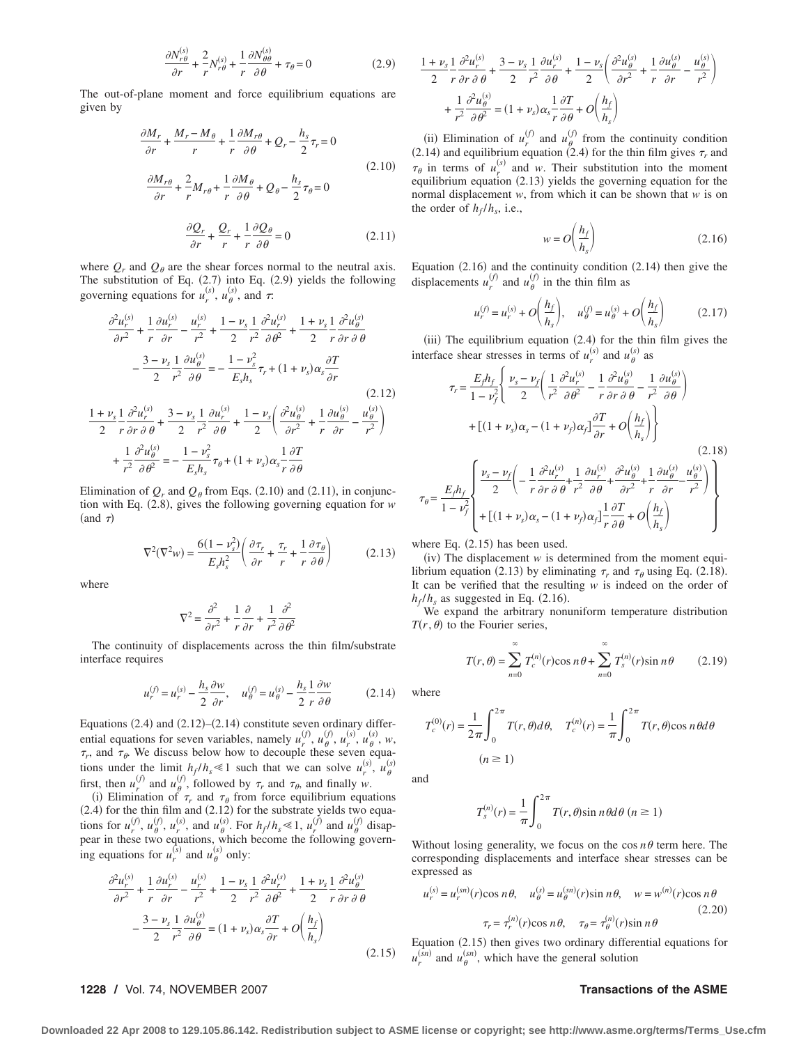$$
\frac{\partial N_{r\theta}^{(s)}}{\partial r} + \frac{2}{r} N_{r\theta}^{(s)} + \frac{1}{r} \frac{\partial N_{\theta\theta}^{(s)}}{\partial \theta} + \tau_{\theta} = 0
$$
 (2.9)

The out-of-plane moment and force equilibrium equations are given by

$$
\frac{\partial M_r}{\partial r} + \frac{M_r - M_\theta}{r} + \frac{1}{r} \frac{\partial M_{r\theta}}{\partial \theta} + Q_r - \frac{h_s}{2} \tau_r = 0
$$
\n
$$
\frac{\partial M_{r\theta}}{\partial r} + \frac{2}{r} M_{r\theta} + \frac{1}{r} \frac{\partial M_\theta}{\partial \theta} + Q_\theta - \frac{h_s}{2} \tau_\theta = 0
$$
\n
$$
\frac{\partial Q_r}{\partial r} + \frac{Q_r}{r} + \frac{1}{r} \frac{\partial Q_\theta}{\partial \theta} = 0
$$
\n(2.11)

where  $Q_r$  and  $Q_\theta$  are the shear forces normal to the neutral axis. The substitution of Eq.  $(2.7)$  into Eq.  $(2.9)$  yields the following governing equations for  $u_r^{(s)}$ ,  $u_\theta^{(s)}$ , and  $\tau$ .

$$
\frac{\partial^2 u_r^{(s)}}{\partial r^2} + \frac{1}{r} \frac{\partial u_r^{(s)}}{\partial r} - \frac{u_r^{(s)}}{r^2} + \frac{1 - \nu_s}{2} \frac{1}{r^2} \frac{\partial^2 u_r^{(s)}}{\partial \theta^2} + \frac{1 + \nu_s}{2} \frac{1}{r} \frac{\partial^2 u_\theta^{(s)}}{\partial r \partial \theta}
$$

$$
- \frac{3 - \nu_s}{2} \frac{1}{r^2} \frac{\partial u_\theta^{(s)}}{\partial \theta} = - \frac{1 - \nu_s^2}{E_s h_s} \tau_r + (1 + \nu_s) \alpha_s \frac{\partial T}{\partial r}
$$
(2.12)  

$$
\frac{1 + \nu_s}{2} \frac{1}{r} \frac{\partial^2 u_r^{(s)}}{\partial r \partial \theta} + \frac{3 - \nu_s}{2} \frac{1}{r^2} \frac{\partial u_r^{(s)}}{\partial \theta} + \frac{1 - \nu_s}{2} \left( \frac{\partial^2 u_\theta^{(s)}}{\partial r^2} + \frac{1}{r} \frac{\partial u_\theta^{(s)}}{\partial r} - \frac{u_\theta^{(s)}}{r^2} \right)
$$

$$
+ \frac{1}{r^2} \frac{\partial^2 u_\theta^{(s)}}{\partial \theta^2} = - \frac{1 - \nu_s^2}{E_s h_s} \tau_\theta + (1 + \nu_s) \alpha_s \frac{1}{r} \frac{\partial T}{\partial \theta}
$$

Elimination of  $Q_r$  and  $Q_\theta$  from Eqs. (2.10) and (2.11), in conjunction with Eq. 2.8, gives the following governing equation for *w* (and  $\tau$ )

$$
\nabla^2(\nabla^2 w) = \frac{6(1 - \nu_s^2)}{E_s h_s^2} \left( \frac{\partial \tau_r}{\partial r} + \frac{\tau_r}{r} + \frac{1}{r} \frac{\partial \tau_\theta}{\partial \theta} \right)
$$
(2.13)

where

$$
\nabla^2 = \frac{\partial^2}{\partial r^2} + \frac{1}{r} \frac{\partial}{\partial r} + \frac{1}{r^2} \frac{\partial^2}{\partial \theta^2}
$$

The continuity of displacements across the thin film/substrate interface requires

$$
u_r^{(f)} = u_r^{(s)} - \frac{h_s}{2} \frac{\partial w}{\partial r}, \quad u_\theta^{(f)} = u_\theta^{(s)} - \frac{h_s}{2} \frac{1}{r} \frac{\partial w}{\partial \theta} \tag{2.14}
$$

Equations  $(2.4)$  and  $(2.12)$ – $(2.14)$  constitute seven ordinary differential equations for seven variables, namely  $u_r^{(f)}$ ,  $u_\theta^{(f)}$ ,  $u_r^{(s)}$ ,  $u_\theta^{(s)}$ ,  $w$ ,  $\tau_r$ , and  $\tau_\theta$ . We discuss below how to decouple these seven equations under the limit  $h_f/h_s \ll 1$  such that we can solve  $u_r^{(s)}$ ,  $u_\theta^{(s)}$ first, then  $u_r^{(f)}$  and  $u_\theta^{(f)}$ , followed by  $\tau_r$  and  $\tau_\theta$ , and finally *w*.

(i) Elimination of  $\tau_r$  and  $\tau_\theta$  from force equilibrium equations  $(2.4)$  for the thin film and  $(2.12)$  for the substrate yields two equations for  $u_r^{(f)}$ ,  $u_\theta^{(f)}$ ,  $u_r^{(s)}$ , and  $u_\theta^{(s)}$ . For  $h_f/h_s \ll 1$ ,  $u_r^{(f)}$  and  $u_\theta^{(f)}$  disappear in these two equations, which become the following governing equations for  $u_r^{(s)}$  and  $u_{\theta}^{(s)}$  only:

$$
\frac{\partial^2 u_r^{(s)}}{\partial r^2} + \frac{1}{r} \frac{\partial u_r^{(s)}}{\partial r} - \frac{u_r^{(s)}}{r^2} + \frac{1 - \nu_s}{2} \frac{1}{r^2} \frac{\partial^2 u_r^{(s)}}{\partial \theta^2} + \frac{1 + \nu_s}{2} \frac{1}{r} \frac{\partial^2 u_\theta^{(s)}}{\partial r \partial \theta}
$$

$$
- \frac{3 - \nu_s}{2} \frac{1}{r^2} \frac{\partial u_\theta^{(s)}}{\partial \theta} = (1 + \nu_s) \alpha_s \frac{\partial T}{\partial r} + O\left(\frac{h_f}{h_s}\right)
$$
(2.15)

### $1 + \nu_s$ 2 1 *r*  $\partial^2 u_r^{(s)}$  $\frac{\partial^2 u_r^{(s)}}{\partial r \partial \theta} + \frac{3 - \nu_s}{2}$ 2 1 *r*2  $\partial u_r^{(s)}$  $\frac{du_r^{(s)}}{\partial \theta} + \frac{1 - \nu_s}{2} \left( \frac{\partial^2 u_\theta^{(s)}}{\partial r^2} \right)$  $rac{\partial u_{\theta}^{(s)}}{\partial r^2} + \frac{1}{r}$ *r*  $\left(\frac{\partial u_{\theta}^{(s)}}{\partial r} - \frac{u_{\theta}^{(s)}}{r^2}\right)$  $+\frac{1}{2}$ *r*2  $\partial^2 u_{\theta}^{(s)}$  $\frac{\partial^2 u_{\theta}^{(s)}}{\partial \theta^2} = (1 + \nu_s) \alpha_s \frac{1}{r}$ *r*  $\partial T$  $\frac{\partial T}{\partial \theta} + O\left(\frac{h_f}{h}\right)$  $\frac{h_f}{h_s}$

(ii) Elimination of  $u_r^{(f)}$  and  $u_\theta^{(f)}$  from the continuity condition (2.14) and equilibrium equation (2.4) for the thin film gives  $\tau_r$  and  $\tau_{\theta}$  in terms of  $u_r^{(s)}$  and *w*. Their substitution into the moment equilibrium equation (2.13) yields the governing equation for the normal displacement *w*, from which it can be shown that *w* is on the order of  $h_f/h_s$ , i.e.,

$$
w = O\left(\frac{h_f}{h_s}\right) \tag{2.16}
$$

Equation  $(2.16)$  and the continuity condition  $(2.14)$  then give the displacements  $u_r^{(f)}$  and  $u_\theta^{(f)}$  in the thin film as

$$
u_r^{(f)} = u_r^{(s)} + O\left(\frac{h_f}{h_s}\right), \quad u_\theta^{(f)} = u_\theta^{(s)} + O\left(\frac{h_f}{h_s}\right) \tag{2.17}
$$

(iii) The equilibrium equation  $(2.4)$  for the thin film gives the interface shear stresses in terms of  $u_r^{(s)}$  and  $u_\theta^{(s)}$  as

$$
\tau_r = \frac{E_f h_f}{1 - v_f^2} \left\{ \frac{v_s - v_f}{2} \left( \frac{1}{r^2} \frac{\partial^2 u_r^{(s)}}{\partial \theta^2} - \frac{1}{r} \frac{\partial^2 u_\theta^{(s)}}{\partial r \partial \theta} - \frac{1}{r^2} \frac{\partial u_\theta^{(s)}}{\partial \theta} \right) \right\}
$$

$$
+ \left[ (1 + v_s) \alpha_s - (1 + v_f) \alpha_f \right] \frac{\partial T}{\partial r} + O\left( \frac{h_f}{h_s} \right) \right\}
$$
(2.18)  

$$
\tau_\theta = \frac{E_f h_f}{1 - v_f^2} \left\{ \frac{v_s - v_f}{2} \left( -\frac{1}{r} \frac{\partial^2 u_r^{(s)}}{\partial r \partial \theta} + \frac{1}{r^2} \frac{\partial u_r^{(s)}}{\partial \theta} + \frac{\partial^2 u_\theta^{(s)}}{\partial r^2} + \frac{1}{r} \frac{\partial u_\theta^{(s)}}{\partial r} - \frac{u_\theta^{(s)}}{r^2} \right) \right\}
$$
(2.18)  

$$
= \left[ (1 + v_s) \alpha_s - (1 + v_f) \alpha_f \right] \frac{1}{r} \frac{\partial T}{\partial \theta} + O\left( \frac{h_f}{h_s} \right)
$$

where Eq.  $(2.15)$  has been used.

 $(iv)$  The displacement  $w$  is determined from the moment equilibrium equation (2.13) by eliminating  $\tau_r$  and  $\tau_\theta$  using Eq. (2.18). It can be verified that the resulting *w* is indeed on the order of  $h_f/h_s$  as suggested in Eq. (2.16).

We expand the arbitrary nonuniform temperature distribution  $T(r, \theta)$  to the Fourier series,

$$
T(r,\theta) = \sum_{n=0}^{\infty} T_c^{(n)}(r) \cos n\theta + \sum_{n=0}^{\infty} T_s^{(n)}(r) \sin n\theta \qquad (2.19)
$$

where

 $\tau_\theta$ 

$$
T_c^{(0)}(r) = \frac{1}{2\pi} \int_0^{2\pi} T(r,\theta)d\theta, \quad T_c^{(n)}(r) = \frac{1}{\pi} \int_0^{2\pi} T(r,\theta)\cos n\theta d\theta
$$

$$
(n \ge 1)
$$

and

$$
T_s^{(n)}(r) = \frac{1}{\pi} \int_0^{2\pi} T(r,\theta) \sin n\theta d\theta \ (n \ge 1)
$$

Without losing generality, we focus on the cos  $n\theta$  term here. The corresponding displacements and interface shear stresses can be expressed as

$$
u_r^{(s)} = u_r^{(sn)}(r)\cos n\theta, \quad u_\theta^{(s)} = u_\theta^{(sn)}(r)\sin n\theta, \quad w = w^{(n)}(r)\cos n\theta
$$
\n
$$
\tau_r = \tau_r^{(n)}(r)\cos n\theta, \quad \tau_\theta = \tau_\theta^{(n)}(r)\sin n\theta
$$
\n(2.20)

(2.15)  $u_r^{(sn)}$  and  $u_\theta^{(sn)}$ , which have the general solution Equation  $(2.15)$  then gives two ordinary differential equations for

### **1228 /** Vol. 74, NOVEMBER 2007 **Transactions of the ASME**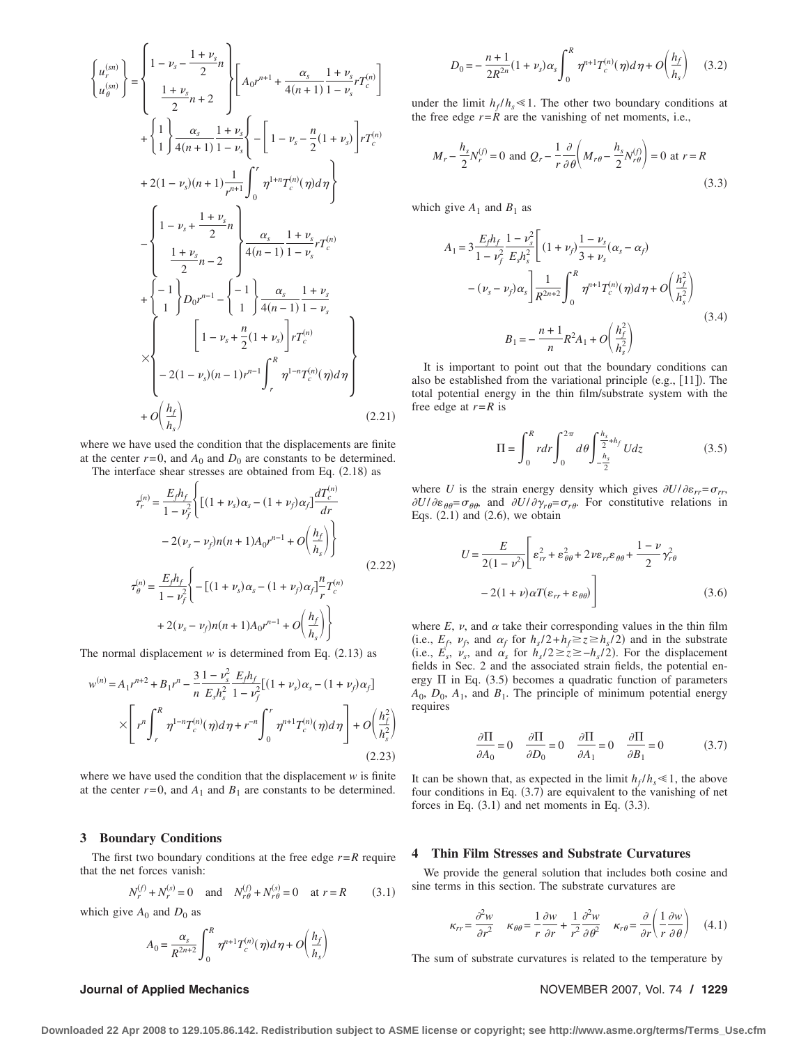$$
\begin{cases}\nu_r^{(sn)} \\
u_{\theta}^{(sn)}\n\end{cases} = \begin{cases}\n1 - \nu_s - \frac{1 + \nu_s}{2}n \\
\frac{1 + \nu_s}{2}n + 2\n\end{cases}\n\begin{bmatrix}\nA_0 r^{n+1} + \frac{\alpha_s}{4(n+1)} \frac{1 + \nu_s}{1 - \nu_s} r T_c^{(n)}\n\end{bmatrix} \\
+ \begin{cases}\n1 \\
1\n\end{cases}\n\frac{\alpha_s}{4(n+1)} \frac{1 + \nu_s}{1 - \nu_s} \left\{-\left[1 - \nu_s - \frac{n}{2}(1 + \nu_s)\right] r T_c^{(n)}\n\end{cases} \\
+ 2(1 - \nu_s)(n+1) \frac{1}{r^{n+1}} \int_0^r \eta^{1+n} T_c^{(n)}(\eta) d\eta\n\end{cases}
$$
\n
$$
- \begin{cases}\n1 - \nu_s + \frac{1 + \nu_s}{2}n \\
\frac{1 + \nu_s}{2}n - 2\n\end{cases}\n\begin{cases}\n\frac{\alpha_s}{4(n-1)} \frac{1 + \nu_s}{1 - \nu_s} r T_c^{(n)} \\
\frac{1}{2}n - 2\n\end{cases} \\
+ \begin{cases}\n-1 \\
1\n\end{cases}\nD_0 r^{n-1} - \begin{cases}\n-1 \\
1\n\end{cases}\n\frac{\alpha_s}{4(n-1)} \frac{1 + \nu_s}{1 - \nu_s} \\
-\frac{2(1 - \nu_s)(n-1)}{r^{n-1}} \int_r^R \eta^{1-n} T_c^{(n)}(\eta) d\eta\n\end{cases}
$$
\n
$$
+ O\left(\frac{h_f}{h_s}\right)
$$
\n(2.21)

where we have used the condition that the displacements are finite at the center  $r=0$ , and  $A_0$  and  $D_0$  are constants to be determined.

The interface shear stresses are obtained from Eq.  $(2.18)$  as

$$
\tau_r^{(n)} = \frac{E_f h_f}{1 - \nu_f^2} \Biggl\{ \left[ (1 + \nu_s) \alpha_s - (1 + \nu_f) \alpha_f \right] \frac{dT_c^{(n)}}{dr} - 2(\nu_s - \nu_f) n(n + 1) A_0 r^{n-1} + O\left(\frac{h_f}{h_s}\right) \Biggr\}
$$
\n
$$
\tau_\theta^{(n)} = \frac{E_f h_f}{1 - \nu_f^2} \Biggl\{ - \left[ (1 + \nu_s) \alpha_s - (1 + \nu_f) \alpha_f \right] \frac{n}{r} T_c^{(n)} + 2(\nu_s - \nu_f) n(n + 1) A_0 r^{n-1} + O\left(\frac{h_f}{h_s}\right) \Biggr\}
$$
\n(2.22)

The normal displacement  $w$  is determined from Eq.  $(2.13)$  as

$$
w^{(n)} = A_1 r^{n+2} + B_1 r^n - \frac{3}{n} \frac{1 - v_s^2}{E_s h_s^2} \frac{E_f h_f}{1 - v_f^2} [(1 + v_s) \alpha_s - (1 + v_f) \alpha_f]
$$
  
 
$$
\times \left[ r^n \int_r^R \eta^{1 - n} T_c^{(n)}(\eta) d\eta + r^{-n} \int_0^r \eta^{n+1} T_c^{(n)}(\eta) d\eta \right] + O\left(\frac{h_f^2}{h_s^2}\right)
$$
(2.23)

where we have used the condition that the displacement *w* is finite at the center  $r=0$ , and  $A_1$  and  $B_1$  are constants to be determined.

### **3 Boundary Conditions**

The first two boundary conditions at the free edge  $r = R$  require that the net forces vanish:

$$
N_r^{(f)} + N_r^{(s)} = 0 \quad \text{and} \quad N_{r\theta}^{(f)} + N_{r\theta}^{(s)} = 0 \quad \text{at } r = R \tag{3.1}
$$

which give  $A_0$  and  $D_0$  as

$$
A_0 = \frac{\alpha_s}{R^{2n+2}} \int_0^R \eta^{n+1} T_c^{(n)}(\eta) d\eta + O\left(\frac{h_f}{h_s}\right)
$$

$$
D_0 = -\frac{n+1}{2R^{2n}}(1+\nu_s)\alpha_s \int_0^R \eta^{n+1} T_c^{(n)}(\eta) d\eta + O\left(\frac{h_f}{h_s}\right) \quad (3.2)
$$

under the limit  $h_f/h_s \ll 1$ . The other two boundary conditions at the free edge  $r = \overline{R}$  are the vanishing of net moments, i.e.,

$$
M_r - \frac{h_s}{2} N_r^{(f)} = 0 \text{ and } Q_r - \frac{1}{r} \frac{\partial}{\partial \theta} \left( M_{r\theta} - \frac{h_s}{2} N_{r\theta}^{(f)} \right) = 0 \text{ at } r = R
$$
\n(3.3)

which give  $A_1$  and  $B_1$  as

$$
A_{1} = 3 \frac{E_{f} h_{f}}{1 - \nu_{f}^{2}} \frac{1 - \nu_{s}^{2}}{E_{s} h_{s}^{2}} \left[ (1 + \nu_{f}) \frac{1 - \nu_{s}}{3 + \nu_{s}} (\alpha_{s} - \alpha_{f}) - (\nu_{s} - \nu_{f}) \alpha_{s} \right] \frac{1}{R^{2n+2}} \int_{0}^{R} \eta^{n+1} T_{c}^{(n)}(\eta) d\eta + O\left(\frac{h_{f}^{2}}{h_{s}^{2}}\right)
$$
  

$$
B_{1} = -\frac{n+1}{n} R^{2} A_{1} + O\left(\frac{h_{f}^{2}}{h_{s}^{2}}\right)
$$
(3.4)

It is important to point out that the boundary conditions can also be established from the variational principle (e.g., [11]). The total potential energy in the thin film/substrate system with the free edge at *r*=*R* is

$$
\Pi = \int_0^R r dr \int_0^{2\pi} d\theta \int_{-\frac{h_s}{2}}^{\frac{h_s}{2} + h_f} U dz
$$
 (3.5)

where *U* is the strain energy density which gives  $\partial U/\partial \varepsilon_{rr} = \sigma_{rr}$ ,  $\partial U/\partial \varepsilon_{\theta\theta} = \sigma_{\theta\theta}$ , and  $\partial U/\partial \gamma_{r\theta} = \sigma_{r\theta}$ . For constitutive relations in Eqs.  $(2.1)$  and  $(2.6)$ , we obtain

$$
U = \frac{E}{2(1 - \nu^2)} \left[ \varepsilon_{rr}^2 + \varepsilon_{\theta\theta}^2 + 2\nu\varepsilon_{rr}\varepsilon_{\theta\theta} + \frac{1 - \nu}{2} \gamma_{r\theta}^2 - 2(1 + \nu)\alpha T(\varepsilon_{rr} + \varepsilon_{\theta\theta}) \right]
$$
(3.6)

where  $E$ ,  $\nu$ , and  $\alpha$  take their corresponding values in the thin film (i.e.,  $E_f$ ,  $\nu_f$ , and  $\alpha_f$  for  $h_s/2 + h_f \ge z \ge h_s/2$ ) and in the substrate (i.e.,  $E_s$ ,  $v_s$ , and  $\alpha_s$  for  $h_s/2 \ge z \ge -h_s/2$ ). For the displacement fields in Sec. 2 and the associated strain fields, the potential energy  $\Pi$  in Eq. (3.5) becomes a quadratic function of parameters  $A_0$ ,  $D_0$ ,  $A_1$ , and  $B_1$ . The principle of minimum potential energy requires

$$
\frac{\partial \Pi}{\partial A_0} = 0 \quad \frac{\partial \Pi}{\partial D_0} = 0 \quad \frac{\partial \Pi}{\partial A_1} = 0 \quad \frac{\partial \Pi}{\partial B_1} = 0 \tag{3.7}
$$

It can be shown that, as expected in the limit  $h_f/h_s \ll 1$ , the above four conditions in Eq.  $(3.7)$  are equivalent to the vanishing of net forces in Eq.  $(3.1)$  and net moments in Eq.  $(3.3)$ .

### **4 Thin Film Stresses and Substrate Curvatures**

We provide the general solution that includes both cosine and sine terms in this section. The substrate curvatures are

$$
\kappa_{rr} = \frac{\partial^2 w}{\partial r^2} \quad \kappa_{\theta\theta} = \frac{1}{r} \frac{\partial w}{\partial r} + \frac{1}{r^2} \frac{\partial^2 w}{\partial \theta^2} \quad \kappa_{r\theta} = \frac{\partial}{\partial r} \left( \frac{1}{r} \frac{\partial w}{\partial \theta} \right) \quad (4.1)
$$

The sum of substrate curvatures is related to the temperature by

**Journal of Applied Mechanics** November 2007, Vol. 74 / 1229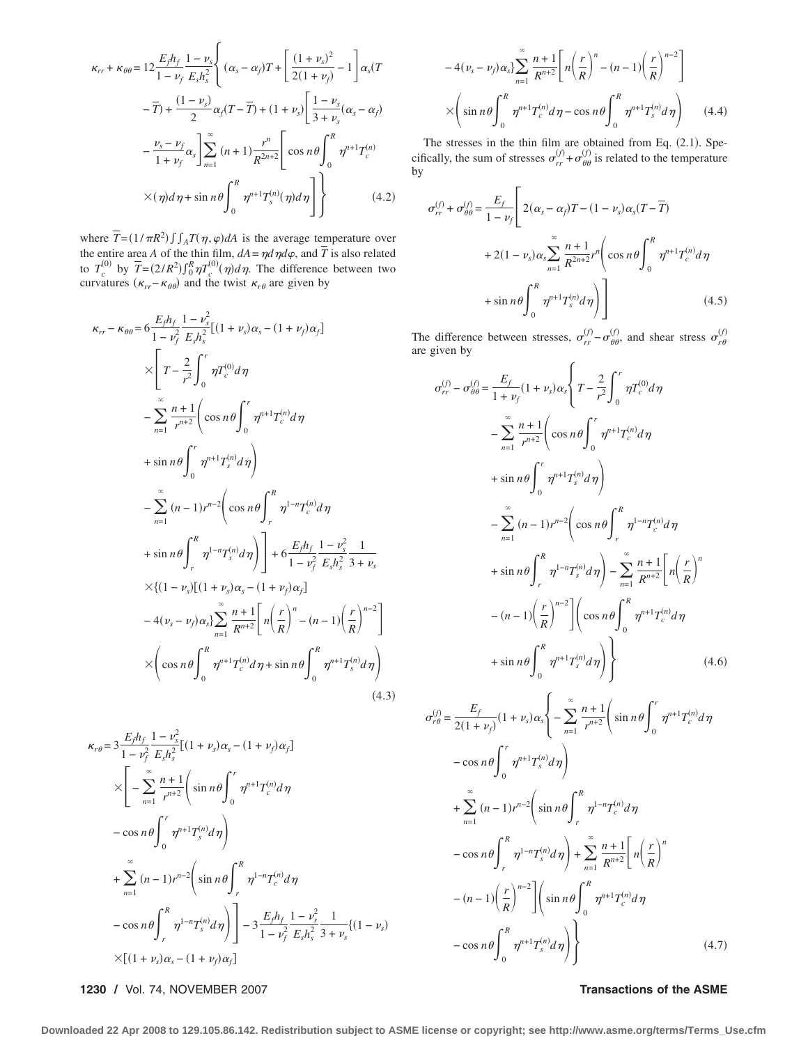$$
\kappa_{rr} + \kappa_{\theta\theta} = 12 \frac{E_f h_f}{1 - \nu_f} \frac{1 - \nu_s}{E_s h_s^2} \left\{ (\alpha_s - \alpha_f) T + \left[ \frac{(1 + \nu_s)^2}{2(1 + \nu_f)} - 1 \right] \alpha_s (T - \overline{T}) + \frac{(1 - \nu_s)}{2} \alpha_f (T - \overline{T}) + (1 + \nu_s) \left[ \frac{1 - \nu_s}{3 + \nu_s} (\alpha_s - \alpha_f) - \frac{\nu_s - \nu_f}{1 + \nu_f} \alpha_s \right] \sum_{n=1}^{\infty} (n + 1) \frac{r^n}{R^{2n+2}} \left[ \cos n\theta \int_0^R \eta^{n+1} T_c^{(n)} \times (\eta) d\eta + \sin n\theta \int_0^R \eta^{n+1} T_s^{(n)}(\eta) d\eta \right] \right\}
$$
(4.2)

where  $\overline{T} = (1/\pi R^2) \int \int_A T(\eta, \varphi) dA$  is the average temperature over the entire area *A* of the thin film,  $dA = \eta d \eta d\varphi$ , and *T* is also related to  $T_c^{(0)}$  by  $\overline{T} = (2/R^2) \int_0^R \eta T_c^{(0)}(\eta) d\eta$ . The difference between two curvatures  $(\kappa_{rr} - \kappa_{\theta\theta})$  and the twist  $\kappa_{r\theta}$  are given by

$$
\kappa_{rr} - \kappa_{\theta\theta} = 6 \frac{E_f h_f}{1 - \nu_f^2} \frac{1 - \nu_s^2}{E_s h_s^2} [(1 + \nu_s) \alpha_s - (1 + \nu_f) \alpha_f]
$$
  
\n
$$
\times \left[ T - \frac{2}{r^2} \int_0^r \eta T_c^{(0)} d\eta - \sum_{n=1}^{\infty} \frac{n+1}{r^{n+2}} \left( \cos n\theta \int_0^r \eta^{n+1} T_c^{(n)} d\eta - \sin n\theta \int_0^r \eta^{n+1} T_s^{(n)} d\eta \right) \right]
$$
  
\n
$$
+ \sin n\theta \int_0^r \eta^{n+1} T_s^{(n)} d\eta - \sum_{n=1}^{\infty} (n-1) r^{n-2} \left( \cos n\theta \int_r^R \eta^{1-n} T_c^{(n)} d\eta - \sin n\theta \int_r^R \eta^{1-n} T_s^{(n)} d\eta \right) \right] + 6 \frac{E_f h_f}{1 - \nu_f^2} \frac{1}{E_s h_s^2} \frac{1}{3 + \nu_s}
$$
  
\n
$$
\times \left\{ (1 - \nu_s) [(1 + \nu_s) \alpha_s - (1 + \nu_f) \alpha_f] - (1 - 1) \left( \frac{r}{R} \right)^{n-2} \right\}
$$
  
\n
$$
- 4(\nu_s - \nu_f) \alpha_s \right\} \sum_{n=1}^{\infty} \frac{n+1}{R^{n+2}} \left[ n \left( \frac{r}{R} \right)^n - (n - 1) \left( \frac{r}{R} \right)^{n-2} \right]
$$
  
\n
$$
\times \left( \cos n\theta \int_0^R \eta^{n+1} T_c^{(n)} d\eta + \sin n\theta \int_0^R \eta^{n+1} T_s^{(n)} d\eta \right)
$$
  
\n(4.3)

$$
\kappa_{r\theta} = 3 \frac{E_{f} h_{f}}{1 - \nu_{f}^{2}} \frac{1 - \nu_{s}^{2}}{E_{s} h_{s}^{2}} [(1 + \nu_{s}) \alpha_{s} - (1 + \nu_{f}) \alpha_{f}]
$$
\n
$$
\times \left[ -\sum_{n=1}^{\infty} \frac{n+1}{r^{n+2}} \left( \sin n\theta \int_{0}^{r} \eta^{n+1} T_{c}^{(n)} d\eta \right) - \cos n\theta \int_{0}^{r} \eta^{n+1} T_{s}^{(n)} d\eta \right]
$$
\n
$$
+ \sum_{n=1}^{\infty} (n-1) r^{n-2} \left( \sin n\theta \int_{r}^{R} \eta^{1-n} T_{c}^{(n)} d\eta \right)
$$
\n
$$
- \cos n\theta \int_{r}^{R} \eta^{1-n} T_{s}^{(n)} d\eta \right) - 3 \frac{E_{f} h_{f}}{1 - \nu_{f}^{2}} \frac{1 - \nu_{s}^{2}}{E_{s} h_{s}^{2}} \frac{1}{3 + \nu_{s}} \{(1 - \nu_{s})
$$
\n
$$
\times [(1 + \nu_{s}) \alpha_{s} - (1 + \nu_{f}) \alpha_{f}]
$$

**1230 /** Vol. 74, NOVEMBER 2007 **Transactions of the ASME**

$$
-4(\nu_s - \nu_f)\alpha_s \sum_{n=1}^{\infty} \frac{n+1}{R^{n+2}} \left[ n \left( \frac{r}{R} \right)^n - (n-1) \left( \frac{r}{R} \right)^{n-2} \right]
$$

$$
\times \left( \sin n\theta \int_0^R \eta^{n+1} T_c^{(n)} d\eta - \cos n\theta \int_0^R \eta^{n+1} T_s^{(n)} d\eta \right) \qquad (4.4)
$$

The stresses in the thin film are obtained from Eq. (2.1). Specifically, the sum of stresses  $\sigma_{rr}^{(f)} + \sigma_{\theta\theta}^{(f)}$  is related to the temperature by

$$
\sigma_{rr}^{(f)} + \sigma_{\theta\theta}^{(f)} = \frac{E_f}{1 - \nu_f} \left[ 2(\alpha_s - \alpha_f)T - (1 - \nu_s)\alpha_s(T - \overline{T}) + 2(1 - \nu_s)\alpha_s \sum_{n=1}^{\infty} \frac{n+1}{R^{2n+2}} r^n \left( \cos n\theta \int_0^R \eta^{n+1} T_c^{(n)} d\eta + \sin n\theta \int_0^R \eta^{n+1} T_s^{(n)} d\eta \right) \right]
$$
(4.5)

The difference between stresses,  $\sigma_{rr}^{(f)} - \sigma_{\theta\theta}^{(f)}$ , and shear stress  $\sigma_{r\theta}^{(f)}$ are given by

$$
\sigma_{rr}^{(f)} - \sigma_{\theta\theta}^{(f)} = \frac{E_f}{1 + \nu_f} (1 + \nu_s) \alpha_s \left\{ T - \frac{2}{r^2} \int_0^r \eta T_c^{(0)} d\eta \right.\n- \sum_{n=1}^{\infty} \frac{n+1}{r^{n+2}} \left( \cos n\theta \int_0^r \eta^{n+1} T_c^{(n)} d\eta \right.\n+ \sin n\theta \int_0^r \eta^{n+1} T_s^{(n)} d\eta \right)\n- \sum_{n=1}^{\infty} (n-1) r^{n-2} \left( \cos n\theta \int_r^R \eta^{1-n} T_c^{(n)} d\eta \right.\n+ \sin n\theta \int_r^R \eta^{1-n} T_s^{(n)} d\eta \right) - \sum_{n=1}^{\infty} \frac{n+1}{R^{n+2}} \left[ n \left( \frac{r}{R} \right)^n \right.\n- (n-1) \left( \frac{r}{R} \right)^{n-2} \left[ \left( \cos n\theta \int_0^R \eta^{n+1} T_c^{(n)} d\eta \right.\n+ \sin n\theta \int_0^R \eta^{n+1} T_s^{(n)} d\eta \right) \right\} (4.6)
$$

$$
\sigma_{r\theta}^{(f)} = \frac{E_{f}}{2(1+\nu_{f})}(1+\nu_{s})\alpha_{s} \left\{-\sum_{n=1}^{\infty} \frac{n+1}{r^{n+2}} \left(\sin n\theta \int_{0}^{r} \eta^{n+1} T_{c}^{(n)} d\eta \right.\right.\left. - \cos n\theta \int_{0}^{r} \eta^{n+1} T_{s}^{(n)} d\eta \right)\left. + \sum_{n=1}^{\infty} (n-1)r^{n-2} \left(\sin n\theta \int_{r}^{R} \eta^{1-n} T_{c}^{(n)} d\eta \right.\left. - \cos n\theta \int_{r}^{R} \eta^{1-n} T_{s}^{(n)} d\eta \right) + \sum_{n=1}^{\infty} \frac{n+1}{R^{n+2}} \left[n\left(\frac{r}{R}\right)^{n}\right.\left. - (n-1)\left(\frac{r}{R}\right)^{n-2}\right] \left(\sin n\theta \int_{0}^{R} \eta^{n+1} T_{c}^{(n)} d\eta \right.\left. - \cos n\theta \int_{0}^{R} \eta^{n+1} T_{s}^{(n)} d\eta \right)
$$
\n(4.7)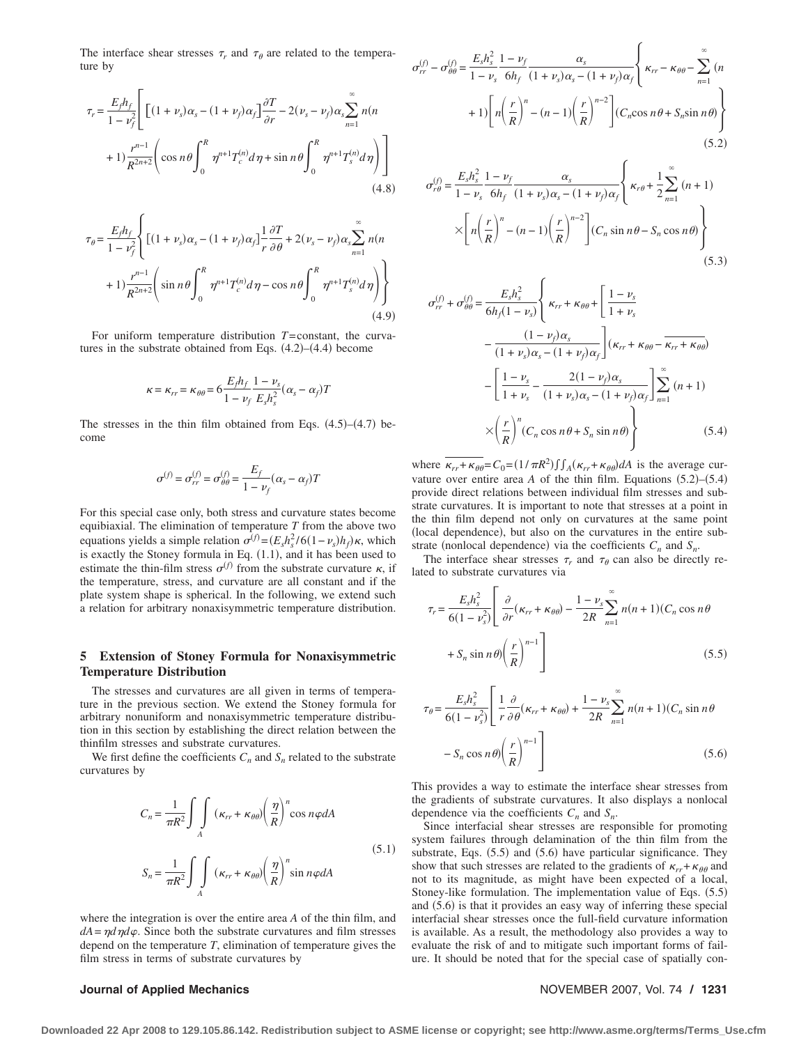The interface shear stresses  $\tau_r$  and  $\tau_\theta$  are related to the temperature by

$$
\tau_r = \frac{E_f h_f}{1 - \nu_f^2} \left[ \left[ (1 + \nu_s) \alpha_s - (1 + \nu_f) \alpha_f \right] \frac{\partial T}{\partial r} - 2(\nu_s - \nu_f) \alpha_s \sum_{n=1}^{\infty} n(n + 1) \frac{r^{n-1}}{R^{2n+2}} \left( \cos n\theta \int_0^R \eta^{n+1} T_c^{(n)} d\eta + \sin n\theta \int_0^R \eta^{n+1} T_s^{(n)} d\eta \right) \right]
$$
\n(4.8)

$$
\tau_{\theta} = \frac{E_{f} h_{f}}{1 - \nu_{f}^{2}} \left\{ \left[ (1 + \nu_{s}) \alpha_{s} - (1 + \nu_{f}) \alpha_{f} \right]_{r}^{1} \frac{\partial T}{\partial \theta} + 2(\nu_{s} - \nu_{f}) \alpha_{s} \sum_{n=1}^{\infty} n(n + 1) \frac{r^{n-1}}{R^{2n+2}} \left( \sin n\theta \int_{0}^{R} \eta^{n+1} T_{c}^{(n)} d\eta - \cos n\theta \int_{0}^{R} \eta^{n+1} T_{s}^{(n)} d\eta \right) \right\}
$$
\n(4.9)

For uniform temperature distribution *T*=constant, the curvatures in the substrate obtained from Eqs.  $(4.2)$ – $(4.4)$  become

$$
\kappa = \kappa_{rr} = \kappa_{\theta\theta} = 6 \frac{E_f h_f}{1 - v_f} \frac{1 - v_s}{E_s h_s^2} (\alpha_s - \alpha_f) T
$$

The stresses in the thin film obtained from Eqs.  $(4.5)$ – $(4.7)$  become

$$
\sigma^{(f)} = \sigma_{rr}^{(f)} = \sigma_{\theta\theta}^{(f)} = \frac{E_f}{1 - \nu_f} (\alpha_s - \alpha_f) T
$$

For this special case only, both stress and curvature states become equibiaxial. The elimination of temperature *T* from the above two equations yields a simple relation  $\sigma^{(f)} = (E_s h_s^2 / 6(1 - \nu_s) h_f) \kappa$ , which is exactly the Stoney formula in Eq.  $(1.1)$ , and it has been used to estimate the thin-film stress  $\sigma^{(f)}$  from the substrate curvature  $\kappa$ , if the temperature, stress, and curvature are all constant and if the plate system shape is spherical. In the following, we extend such a relation for arbitrary nonaxisymmetric temperature distribution.

### **5 Extension of Stoney Formula for Nonaxisymmetric Temperature Distribution**

The stresses and curvatures are all given in terms of temperature in the previous section. We extend the Stoney formula for arbitrary nonuniform and nonaxisymmetric temperature distribution in this section by establishing the direct relation between the thinfilm stresses and substrate curvatures.

We first define the coefficients  $C_n$  and  $S_n$  related to the substrate curvatures by

$$
C_n = \frac{1}{\pi R^2} \int\int\limits_A (\kappa_{rr} + \kappa_{\theta\theta}) \left(\frac{\eta}{R}\right)^n \cos n\varphi dA
$$
\n
$$
S_n = \frac{1}{\pi R^2} \int\limits_A (\kappa_{rr} + \kappa_{\theta\theta}) \left(\frac{\eta}{R}\right)^n \sin n\varphi dA
$$
\n(5.1)

where the integration is over the entire area *A* of the thin film, and  $dA = \eta d \eta d\varphi$ . Since both the substrate curvatures and film stresses depend on the temperature *T*, elimination of temperature gives the film stress in terms of substrate curvatures by

### $\sigma_{rr}^{(f)} - \sigma_{\theta\theta}^{(f)} = \frac{E_s h_s^2}{1}$  $1 - \nu_s$  $1 - \nu_f$  $6h_f$  $\alpha_{s}$  $\frac{\alpha_s}{(1 + \nu_s)\alpha_s - (1 + \nu_f)\alpha_f} \left\{\kappa_{rr} - \kappa_{\theta\theta} - \sum_{n=1}^{\infty} \right\}$ *n*  $+ 1$ *n*  $\left[ n \left( \frac{r}{R} \right)^n - (n-1) \left( \frac{r}{R} \right)^{n-2} \right]$   $(C_n \cos n\theta + S_n \sin n\theta)$  $(5.2)$

$$
\sigma_{r\theta}^{(f)} = \frac{E_s h_s^2}{1 - \nu_s} \frac{1 - \nu_f}{6h_f} \frac{\alpha_s}{(1 + \nu_s)\alpha_s - (1 + \nu_f)\alpha_f} \left\{ \kappa_{r\theta} + \frac{1}{2} \sum_{n=1}^{\infty} (n+1) \times \left[ n \left( \frac{r}{R} \right)^n - (n-1) \left( \frac{r}{R} \right)^{n-2} \right] (C_n \sin n\theta - S_n \cos n\theta) \right\}
$$
\n(5.3)

$$
\sigma_{rr}^{(f)} + \sigma_{\theta\theta}^{(f)} = \frac{E_s h_s^2}{6h_f(1 - \nu_s)} \left\{ \kappa_{rr} + \kappa_{\theta\theta} + \left[ \frac{1 - \nu_s}{1 + \nu_s} - \frac{(1 - \nu_f)\alpha_s}{(1 + \nu_s)\alpha_s - (1 + \nu_f)\alpha_f} \right] (\kappa_{rr} + \kappa_{\theta\theta} - \overline{\kappa_{rr} + \kappa_{\theta\theta}}) - \left[ \frac{1 - \nu_s}{1 + \nu_s} - \frac{2(1 - \nu_f)\alpha_s}{(1 + \nu_s)\alpha_s - (1 + \nu_f)\alpha_f} \right]_{n=1}^{\infty} (n+1) \times \left( \frac{r}{R} \right)^n (C_n \cos n\theta + S_n \sin n\theta) \tag{5.4}
$$

where  $\kappa_{rr} + \kappa_{\theta\theta} = C_0 = (1/\pi R^2) \int_A (\kappa_{rr} + \kappa_{\theta\theta}) dA$  is the average curvature over entire area *A* of the thin film. Equations  $(5.2)$ – $(5.4)$ provide direct relations between individual film stresses and substrate curvatures. It is important to note that stresses at a point in the thin film depend not only on curvatures at the same point local dependence, but also on the curvatures in the entire substrate (nonlocal dependence) via the coefficients  $C_n$  and  $S_n$ .

The interface shear stresses  $\tau_r$  and  $\tau_\theta$  can also be directly related to substrate curvatures via

$$
\tau_r = \frac{E_s h_s^2}{6(1 - v_s^2)} \left[ \frac{\partial}{\partial r} (\kappa_{rr} + \kappa_{\theta\theta}) - \frac{1 - v_s}{2R} \sum_{n=1}^{\infty} n(n+1)(C_n \cos n\theta + S_n \sin n\theta) \left( \frac{r}{R} \right)^{n-1} \right]
$$
(5.5)

$$
\tau_{\theta} = \frac{E_{s}h_{s}^{2}}{6(1 - \nu_{s}^{2})} \left[ \frac{1}{r} \frac{\partial}{\partial \theta} (\kappa_{rr} + \kappa_{\theta\theta}) + \frac{1 - \nu_{s}}{2R} \sum_{n=1}^{\infty} n(n+1)(C_{n} \sin n\theta - S_{n} \cos n\theta) \left(\frac{r}{R}\right)^{n-1} \right]
$$
\n(5.6)

This provides a way to estimate the interface shear stresses from the gradients of substrate curvatures. It also displays a nonlocal dependence via the coefficients  $C_n$  and  $S_n$ .

Since interfacial shear stresses are responsible for promoting system failures through delamination of the thin film from the substrate, Eqs.  $(5.5)$  and  $(5.6)$  have particular significance. They show that such stresses are related to the gradients of  $\kappa_{rr} + \kappa_{\theta\theta}$  and not to its magnitude, as might have been expected of a local, Stoney-like formulation. The implementation value of Eqs.  $(5.5)$ and  $(5.6)$  is that it provides an easy way of inferring these special interfacial shear stresses once the full-field curvature information is available. As a result, the methodology also provides a way to evaluate the risk of and to mitigate such important forms of failure. It should be noted that for the special case of spatially con-

### **Journal of Applied Mechanics** November 2007, Vol. 74 **/ 1231**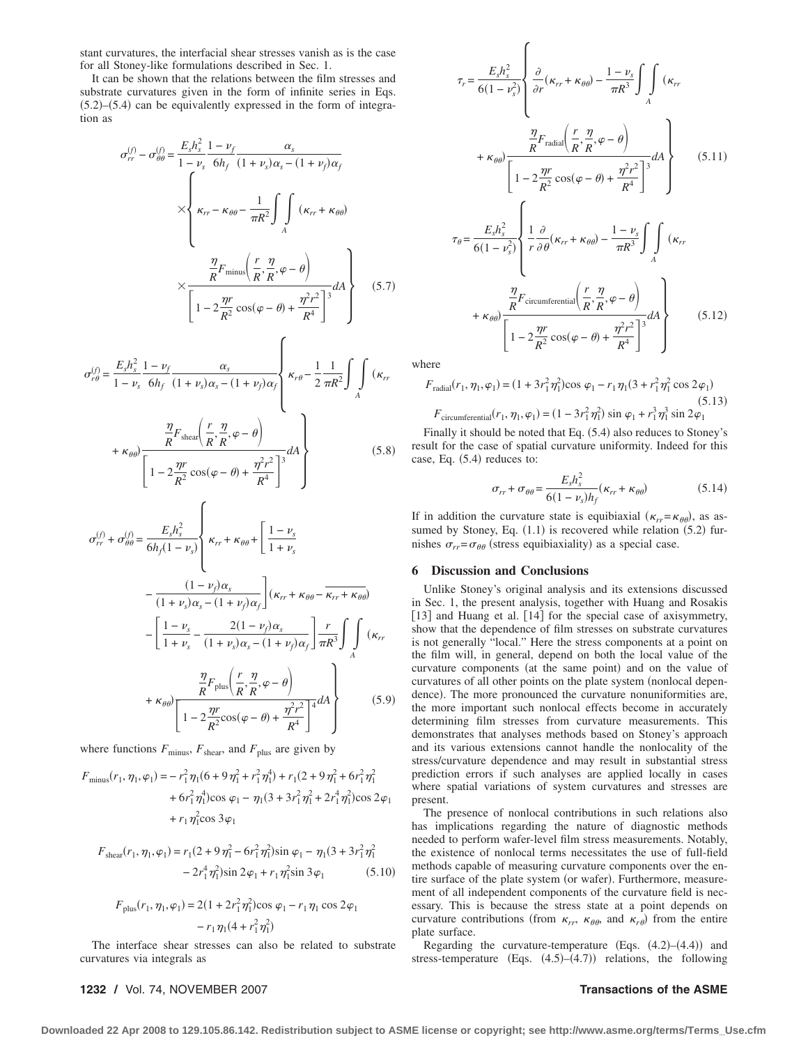stant curvatures, the interfacial shear stresses vanish as is the case for all Stoney-like formulations described in Sec. 1.

It can be shown that the relations between the film stresses and substrate curvatures given in the form of infinite series in Eqs.  $(5.2)$ – $(5.4)$  can be equivalently expressed in the form of integration as

$$
\sigma_{rr}^{(f)} - \sigma_{\theta\theta}^{(f)} = \frac{E_s h_s^2}{1 - \nu_s} \frac{1 - \nu_f}{6h_f} \frac{\alpha_s}{(1 + \nu_s)\alpha_s - (1 + \nu_f)\alpha_f}
$$
  

$$
\times \left\{ \kappa_{rr} - \kappa_{\theta\theta} - \frac{1}{\pi R^2} \int_A \int (\kappa_{rr} + \kappa_{\theta\theta})
$$
  

$$
\times \frac{\frac{\eta}{R} F_{\text{minus}} \left( \frac{r}{R}, \frac{\eta}{R}, \varphi - \theta \right)}{\left[ 1 - 2\frac{\eta r}{R^2} \cos(\varphi - \theta) + \frac{\eta^2 r^2}{R^4} \right]^3} dA \right\}
$$
(5.7)

$$
\sigma_{r\theta}^{(f)} = \frac{E_s h_s^2}{1 - \nu_s} \frac{1 - \nu_f}{6h_f} \frac{\alpha_s}{(1 + \nu_s)\alpha_s - (1 + \nu_f)\alpha_f} \left\{ \kappa_{r\theta} - \frac{1}{2} \frac{1}{\pi R^2} \int_A \int (k_{rr}) \kappa_{r\theta} \frac{m}{R} F_{\text{shear}} \left( \frac{r}{R}, \frac{\eta}{R}, \varphi - \theta \right) \right\}
$$
\n
$$
+ \kappa_{\theta\theta} \frac{m}{\left[ 1 - 2 \frac{\eta r}{R^2} \cos(\varphi - \theta) + \frac{\eta^2 r^2}{R^4} \right]^3} dA \tag{5.8}
$$

$$
\sigma_{rr}^{(f)} + \sigma_{\theta\theta}^{(f)} = \frac{E_s h_s^2}{6h_f(1 - \nu_s)} \left\{ \kappa_{rr} + \kappa_{\theta\theta} + \left[ \frac{1 - \nu_s}{1 + \nu_s} \right. \right.\n- \frac{(1 - \nu_f)\alpha_s}{(1 + \nu_s)\alpha_s - (1 + \nu_f)\alpha_f} \left[ (\kappa_{rr} + \kappa_{\theta\theta} - \overline{\kappa_{rr} + \kappa_{\theta\theta}}) \right.\n- \left[ \frac{1 - \nu_s}{1 + \nu_s} - \frac{2(1 - \nu_f)\alpha_s}{(1 + \nu_s)\alpha_s - (1 + \nu_f)\alpha_f} \right] \frac{r}{\pi R^3} \int_A \int K_{rr} \left. (\kappa_{rr} + \kappa_{\theta\theta}) \frac{\eta}{R} F_{\text{plus}} \left( \frac{r}{R}, \frac{\eta}{R}, \varphi - \theta \right) \right.\n+ \kappa_{\theta\theta} \left[ 1 - 2 \frac{\eta r}{R^2} \cos(\varphi - \theta) + \frac{\eta^2 r^2}{R^4} \right]^{4} dA \right\}
$$
(5.9)

where functions  $F_{\text{minus}}$ ,  $F_{\text{shear}}$ , and  $F_{\text{plus}}$  are given by

$$
F_{\text{minus}}(r_1, \eta_1, \varphi_1) = -r_1^2 \eta_1 (6 + 9 \eta_1^2 + r_1^2 \eta_1^4) + r_1 (2 + 9 \eta_1^2 + 6r_1^2 \eta_1^2 + 6r_1^2 \eta_1^4) \cos \varphi_1 - \eta_1 (3 + 3r_1^2 \eta_1^2 + 2r_1^4 \eta_1^2) \cos 2\varphi_1 + r_1 \eta_1^2 \cos 3\varphi_1
$$

$$
F_{\text{shear}}(r_1, \eta_1, \varphi_1) = r_1(2 + 9\eta_1^2 - 6r_1^2\eta_1^2)\sin\varphi_1 - \eta_1(3 + 3r_1^2\eta_1^2 - 2r_1^4\eta_1^2)\sin 2\varphi_1 + r_1\eta_1^2\sin 3\varphi_1
$$
 (5.10)

$$
F_{\text{plus}}(r_1, \eta_1, \varphi_1) = 2(1 + 2r_1^2 \eta_1^2) \cos \varphi_1 - r_1 \eta_1 \cos 2\varphi_1
$$

$$
- r_1 \eta_1 (4 + r_1^2 \eta_1^2)
$$

The interface shear stresses can also be related to substrate curvatures via integrals as

$$
\tau_{r} = \frac{E_{s}h_{s}^{2}}{6(1 - \nu_{s}^{2})} \left\{ \frac{\partial}{\partial r}(\kappa_{rr} + \kappa_{\theta\theta}) - \frac{1 - \nu_{s}}{\pi R^{3}} \int_{A} \int (\kappa_{rr} + \kappa_{\theta\theta}) \frac{\frac{\eta}{R}F_{\text{radial}}\left(\frac{r}{R}, \frac{\eta}{R}, \varphi - \theta\right)}{\left[1 - 2\frac{\eta r}{R^{2}}\cos(\varphi - \theta) + \frac{\eta^{2}r^{2}}{R^{4}}\right]^{3}} dA \right\}
$$
(5.11)  

$$
\tau_{\theta} = \frac{E_{s}h_{s}^{2}}{6(1 - \nu_{s}^{2})} \left\{ \frac{1}{r} \frac{\partial}{\partial \theta}(\kappa_{rr} + \kappa_{\theta\theta}) - \frac{1 - \nu_{s}}{\pi R^{3}} \int_{A} \int (\kappa_{rr} + \kappa_{\theta\theta}) \frac{\frac{\eta}{R}F_{\text{circumferential}}\left(\frac{r}{R}, \frac{\eta}{R}, \varphi - \theta\right)}{\left[1 - 2\frac{\eta r}{R^{2}}\cos(\varphi - \theta) + \frac{\eta^{2}r^{2}}{R^{4}}\right]^{3}} dA \right\}
$$
(5.12)

where

$$
F_{\text{radial}}(r_1, \eta_1, \varphi_1) = (1 + 3r_1^2 \eta_1^2) \cos \varphi_1 - r_1 \eta_1 (3 + r_1^2 \eta_1^2 \cos 2\varphi_1)
$$
\n(5.13)\n
$$
F_{\text{circumferential}}(r_1, \eta_1, \varphi_1) = (1 - 3r_1^2 \eta_1^2) \sin \varphi_1 + r_1^3 \eta_1^3 \sin 2\varphi_1
$$

Finally it should be noted that Eq.  $(5.4)$  also reduces to Stoney's result for the case of spatial curvature uniformity. Indeed for this case, Eq.  $(5.4)$  reduces to:

$$
\sigma_{rr} + \sigma_{\theta\theta} = \frac{E_s h_s^2}{6(1 - v_s)h_f} (\kappa_{rr} + \kappa_{\theta\theta})
$$
(5.14)

If in addition the curvature state is equibiaxial  $(\kappa_{rr} = \kappa_{\theta\theta})$ , as assumed by Stoney, Eq.  $(1.1)$  is recovered while relation  $(5.2)$  furmishes  $\sigma_{rr} = \sigma_{\theta\theta}$  (stress equibiaxiality) as a special case.

### **6 Discussion and Conclusions**

Unlike Stoney's original analysis and its extensions discussed in Sec. 1, the present analysis, together with Huang and Rosakis [13] and Huang et al. [14] for the special case of axisymmetry, show that the dependence of film stresses on substrate curvatures is not generally "local." Here the stress components at a point on the film will, in general, depend on both the local value of the curvature components (at the same point) and on the value of curvatures of all other points on the plate system (nonlocal dependence). The more pronounced the curvature nonuniformities are, the more important such nonlocal effects become in accurately determining film stresses from curvature measurements. This demonstrates that analyses methods based on Stoney's approach and its various extensions cannot handle the nonlocality of the stress/curvature dependence and may result in substantial stress prediction errors if such analyses are applied locally in cases where spatial variations of system curvatures and stresses are present.

The presence of nonlocal contributions in such relations also has implications regarding the nature of diagnostic methods needed to perform wafer-level film stress measurements. Notably, the existence of nonlocal terms necessitates the use of full-field methods capable of measuring curvature components over the entire surface of the plate system (or wafer). Furthermore, measurement of all independent components of the curvature field is necessary. This is because the stress state at a point depends on curvature contributions (from  $\kappa_{rr}$ ,  $\kappa_{\theta\theta}$ , and  $\kappa_{r\theta}$ ) from the entire plate surface.

Regarding the curvature-temperature (Eqs.  $(4.2)$ – $(4.4)$ ) and stress-temperature (Eqs.  $(4.5)$ – $(4.7)$ ) relations, the following

### **1232 /** Vol. 74, NOVEMBER 2007 **Transactions of the ASME**